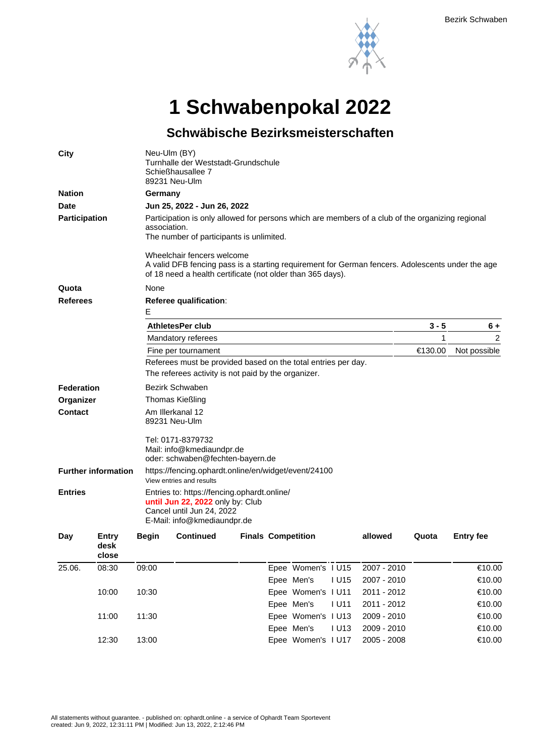

**1 Schwabenpokal 2022**

## **Schwäbische Bezirksmeisterschaften**

| <b>City</b>                |                        | Neu-Ulm (BY)<br>Turnhalle der Weststadt-Grundschule<br>Schießhausallee 7<br>89231 Neu-Ulm                                                                                                    |                                                               |  |                           |                    |             |       |                  |  |  |  |  |
|----------------------------|------------------------|----------------------------------------------------------------------------------------------------------------------------------------------------------------------------------------------|---------------------------------------------------------------|--|---------------------------|--------------------|-------------|-------|------------------|--|--|--|--|
| <b>Nation</b>              |                        | Germany                                                                                                                                                                                      |                                                               |  |                           |                    |             |       |                  |  |  |  |  |
| <b>Date</b>                |                        | Jun 25, 2022 - Jun 26, 2022                                                                                                                                                                  |                                                               |  |                           |                    |             |       |                  |  |  |  |  |
| <b>Participation</b>       |                        | Participation is only allowed for persons which are members of a club of the organizing regional<br>association.<br>The number of participants is unlimited.                                 |                                                               |  |                           |                    |             |       |                  |  |  |  |  |
|                            |                        | Wheelchair fencers welcome<br>A valid DFB fencing pass is a starting requirement for German fencers. Adolescents under the age<br>of 18 need a health certificate (not older than 365 days). |                                                               |  |                           |                    |             |       |                  |  |  |  |  |
| Quota                      |                        | None                                                                                                                                                                                         |                                                               |  |                           |                    |             |       |                  |  |  |  |  |
| <b>Referees</b>            |                        | <b>Referee qualification:</b><br>Е                                                                                                                                                           |                                                               |  |                           |                    |             |       |                  |  |  |  |  |
|                            |                        |                                                                                                                                                                                              | <b>AthletesPer club</b>                                       |  | $3 - 5$                   | $6+$               |             |       |                  |  |  |  |  |
|                            |                        |                                                                                                                                                                                              | Mandatory referees                                            |  | 1                         | 2                  |             |       |                  |  |  |  |  |
|                            |                        |                                                                                                                                                                                              | Fine per tournament                                           |  | €130.00                   | Not possible       |             |       |                  |  |  |  |  |
|                            |                        |                                                                                                                                                                                              | Referees must be provided based on the total entries per day. |  |                           |                    |             |       |                  |  |  |  |  |
|                            |                        | The referees activity is not paid by the organizer.                                                                                                                                          |                                                               |  |                           |                    |             |       |                  |  |  |  |  |
| <b>Federation</b>          |                        | Bezirk Schwaben                                                                                                                                                                              |                                                               |  |                           |                    |             |       |                  |  |  |  |  |
| Organizer                  |                        | <b>Thomas Kießling</b>                                                                                                                                                                       |                                                               |  |                           |                    |             |       |                  |  |  |  |  |
| <b>Contact</b>             |                        | Am Illerkanal 12<br>89231 Neu-Ulm                                                                                                                                                            |                                                               |  |                           |                    |             |       |                  |  |  |  |  |
|                            |                        | Tel: 0171-8379732<br>Mail: info@kmediaundpr.de<br>oder: schwaben@fechten-bayern.de                                                                                                           |                                                               |  |                           |                    |             |       |                  |  |  |  |  |
| <b>Further information</b> |                        | https://fencing.ophardt.online/en/widget/event/24100<br>View entries and results                                                                                                             |                                                               |  |                           |                    |             |       |                  |  |  |  |  |
| <b>Entries</b>             |                        | Entries to: https://fencing.ophardt.online/<br>until Jun 22, 2022 only by: Club<br>Cancel until Jun 24, 2022<br>E-Mail: info@kmediaundpr.de                                                  |                                                               |  |                           |                    |             |       |                  |  |  |  |  |
| Day                        | Entry<br>desk<br>close | <b>Begin</b>                                                                                                                                                                                 | <b>Continued</b>                                              |  | <b>Finals Competition</b> |                    | allowed     | Quota | <b>Entry fee</b> |  |  |  |  |
| 25.06.                     | 08:30                  | 09:00                                                                                                                                                                                        |                                                               |  |                           | Epee Women's I U15 | 2007 - 2010 |       | €10.00           |  |  |  |  |
|                            |                        |                                                                                                                                                                                              |                                                               |  | Epee Men's                | <b>IU15</b>        | 2007 - 2010 |       | €10.00           |  |  |  |  |
|                            | 10:00                  | 10:30                                                                                                                                                                                        |                                                               |  |                           | Epee Women's I U11 | 2011 - 2012 |       | €10.00           |  |  |  |  |
|                            |                        |                                                                                                                                                                                              |                                                               |  | Epee Men's                | <b>IU11</b>        | 2011 - 2012 |       | €10.00           |  |  |  |  |
|                            | 11:00                  | 11:30                                                                                                                                                                                        |                                                               |  |                           | Epee Women's I U13 | 2009 - 2010 |       | €10.00           |  |  |  |  |
|                            |                        |                                                                                                                                                                                              |                                                               |  | Epee Men's                | <b>IU13</b>        | 2009 - 2010 |       | €10.00           |  |  |  |  |
|                            | 12:30                  | 13:00                                                                                                                                                                                        |                                                               |  |                           | Epee Women's I U17 | 2005 - 2008 |       | €10.00           |  |  |  |  |